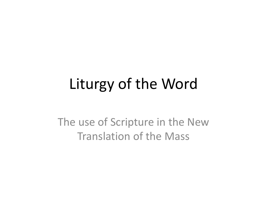# Liturgy of the Word

The use of Scripture in the New Translation of the Mass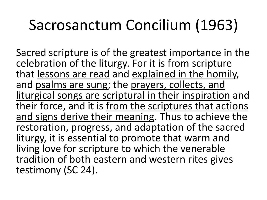# Sacrosanctum Concilium (1963)

Sacred scripture is of the greatest importance in the celebration of the liturgy. For it is from scripture that lessons are read and explained in the homily, and psalms are sung; the prayers, collects, and liturgical songs are scriptural in their inspiration and their force, and it is from the scriptures that actions and signs derive their meaning. Thus to achieve the restoration, progress, and adaptation of the sacred liturgy, it is essential to promote that warm and living love for scripture to which the venerable tradition of both eastern and western rites gives testimony (SC 24).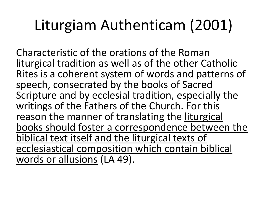# Liturgiam Authenticam (2001)

Characteristic of the orations of the Roman liturgical tradition as well as of the other Catholic Rites is a coherent system of words and patterns of speech, consecrated by the books of Sacred Scripture and by ecclesial tradition, especially the writings of the Fathers of the Church. For this reason the manner of translating the liturgical books should foster a correspondence between the biblical text itself and the liturgical texts of ecclesiastical composition which contain biblical words or allusions (LA 49).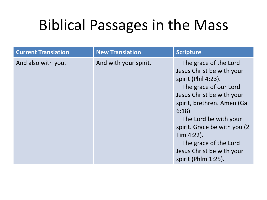| <b>Current Translation</b> | <b>New Translation</b> | <b>Scripture</b>                                                                                                                                                                                                                                                                                                                    |
|----------------------------|------------------------|-------------------------------------------------------------------------------------------------------------------------------------------------------------------------------------------------------------------------------------------------------------------------------------------------------------------------------------|
| And also with you.         | And with your spirit.  | The grace of the Lord<br>Jesus Christ be with your<br>spirit (Phil 4:23).<br>The grace of our Lord<br>Jesus Christ be with your<br>spirit, brethren. Amen (Gal<br>$6:18$ ).<br>The Lord be with your<br>spirit. Grace be with you (2)<br>Tim $4:22$ ).<br>The grace of the Lord<br>Jesus Christ be with your<br>spirit (Phlm 1:25). |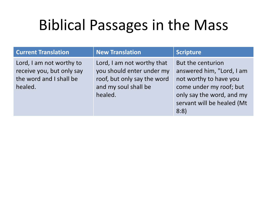| <b>Current Translation</b> |  |
|----------------------------|--|
|                            |  |

Lord, I am not worthy to receive you, but only say the word and I shall be healed.

### **New Translation New Translation New Translation**

Lord, I am not worthy that you should enter under my roof, but only say the word and my soul shall be healed.

But the centurion answered him, "Lord, I am not worthy to have you come under my roof; but only say the word, and my servant will be healed (Mt 8:8)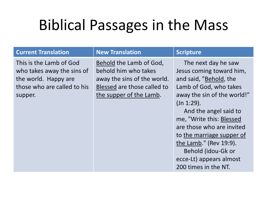### **Current Translation New Translation**  Scripture

This is the Lamb of God who takes away the sins of the world. Happy are those who are called to his supper.

Behold the Lamb of God, behold him who takes away the sins of the world. Blessed are those called to the supper of the Lamb.

 The next day he saw Jesus coming toward him, and said, "Behold, the Lamb of God, who takes away the sin of the world!" (Jn 1:29).

 And the angel said to me, "Write this: Blessed are those who are invited to the marriage supper of the Lamb." (Rev 19:9). Behold (idou-Gk or ecce-Lt) appears almost 200 times in the NT.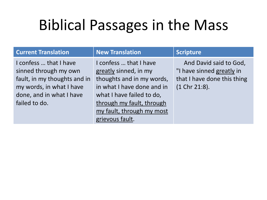### **Current Translation New Translation**  Scripture

I confess … that I have sinned through my own fault, in my thoughts and in my words, in what I have done, and in what I have failed to do.

I confess … that I have greatly sinned, in my thoughts and in my words, in what I have done and in what I have failed to do, through my fault, through my fault, through my most grievous fault.

 And David said to God, "I have sinned greatly in that I have done this thing (1 Chr 21:8).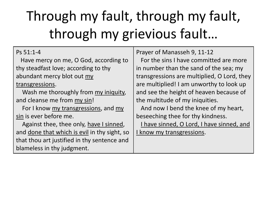# Through my fault, through my fault, through my grievious fault…

| Ps 51:1-4 |
|-----------|
|           |

 Have mercy on me, O God, according to thy steadfast love; according to thy abundant mercy blot out my transgressions.

 Wash me thoroughly from my iniquity, and cleanse me from my sin!

For I know my transgressions, and my sin is ever before me.

 Against thee, thee only, have I sinned, and done that which is evil in thy sight, so that thou art justified in thy sentence and blameless in thy judgment.

Prayer of Manasseh 9, 11-12

 For the sins I have committed are more in number than the sand of the sea; my transgressions are multiplied, O Lord, they are multiplied! I am unworthy to look up and see the height of heaven because of the multitude of my iniquities.

 And now I bend the knee of my heart, beseeching thee for thy kindness.

I have sinned, O Lord, I have sinned, and

I know my transgressions.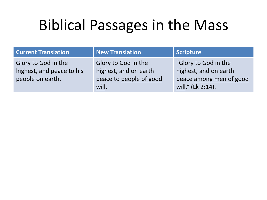| <b>Current Translation</b>                                           | <b>New Translation</b>                                                           | <b>Scripture</b>                                                                              |
|----------------------------------------------------------------------|----------------------------------------------------------------------------------|-----------------------------------------------------------------------------------------------|
| Glory to God in the<br>highest, and peace to his<br>people on earth. | Glory to God in the<br>highest, and on earth<br>peace to people of good<br>will. | "Glory to God in the<br>highest, and on earth<br>peace among men of good<br>will." (Lk 2:14). |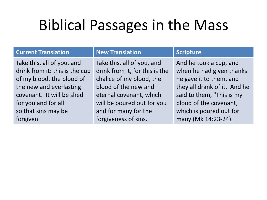### **Current Translation New Translation**  Scripture

Take this, all of you, and drink from it: this is the cup of my blood, the blood of the new and everlasting covenant. It will be shed for you and for all so that sins may be forgiven.

Take this, all of you, and drink from it, for this is the chalice of my blood, the blood of the new and eternal covenant, which will be poured out for you and for many for the forgiveness of sins.

And he took a cup, and when he had given thanks he gave it to them, and they all drank of it. And he said to them, "This is my blood of the covenant, which is poured out for many (Mk 14:23-24).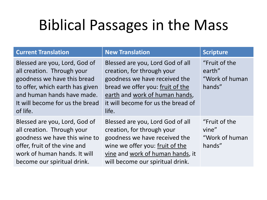| <b>Current Translation</b>                                                                                                                                                                                 | <b>New Translation</b>                                                                                                                                                                                               | <b>Scripture</b>                                    |
|------------------------------------------------------------------------------------------------------------------------------------------------------------------------------------------------------------|----------------------------------------------------------------------------------------------------------------------------------------------------------------------------------------------------------------------|-----------------------------------------------------|
| Blessed are you, Lord, God of<br>all creation. Through your<br>goodness we have this bread<br>to offer, which earth has given<br>and human hands have made.<br>It will become for us the bread<br>of life. | Blessed are you, Lord God of all<br>creation, for through your<br>goodness we have received the<br>bread we offer you: fruit of the<br>earth and work of human hands,<br>it will become for us the bread of<br>life. | "Fruit of the<br>earth"<br>"Work of human<br>hands" |
| Blessed are you, Lord, God of<br>all creation. Through your<br>goodness we have this wine to<br>offer, fruit of the vine and<br>work of human hands. It will<br>become our spiritual drink.                | Blessed are you, Lord God of all<br>creation, for through your<br>goodness we have received the<br>wine we offer you: fruit of the<br>vine and work of human hands, it<br>will become our spiritual drink.           | "Fruit of the<br>vine"<br>"Work of human<br>hands"  |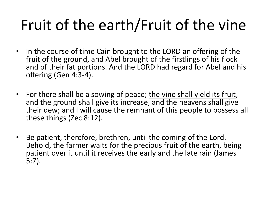# Fruit of the earth/Fruit of the vine

- In the course of time Cain brought to the LORD an offering of the fruit of the ground, and Abel brought of the firstlings of his flock and of their fat portions. And the LORD had regard for Abel and his offering (Gen 4:3-4).
- For there shall be a sowing of peace; the vine shall yield its fruit, and the ground shall give its increase, and the heavens shall give their dew; and I will cause the remnant of this people to possess all these things (Zec 8:12).
- Be patient, therefore, brethren, until the coming of the Lord. Behold, the farmer waits for the precious fruit of the earth, being patient over it until it receives the early and the late rain (James 5:7).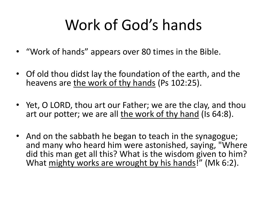# Work of God's hands

- "Work of hands" appears over 80 times in the Bible.
- Of old thou didst lay the foundation of the earth, and the heavens are the work of thy hands (Ps 102:25).
- Yet, O LORD, thou art our Father; we are the clay, and thou art our potter; we are all the work of thy hand (Is 64:8).
- And on the sabbath he began to teach in the synagogue; and many who heard him were astonished, saying, "Where did this man get all this? What is the wisdom given to him? What mighty works are wrought by his hands!" (Mk 6:2).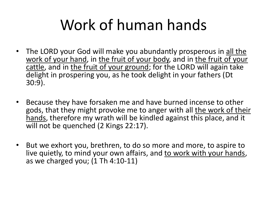# Work of human hands

- The LORD your God will make you abundantly prosperous in all the work of your hand, in the fruit of your body, and in the fruit of your cattle, and in the fruit of your ground; for the LORD will again take delight in prospering you, as he took delight in your fathers (Dt 30:9).
- Because they have forsaken me and have burned incense to other gods, that they might provoke me to anger with all the work of their hands, therefore my wrath will be kindled against this place, and it will not be quenched (2 Kings 22:17).
- But we exhort you, brethren, to do so more and more, to aspire to live quietly, to mind your own affairs, and to work with your hands, as we charged you; (1 Th 4:10-11)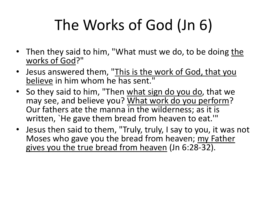# The Works of God (Jn 6)

- Then they said to him, "What must we do, to be doing the works of God?"
- Jesus answered them, "This is the work of God, that you believe in him whom he has sent."
- So they said to him, "Then what sign do you do, that we may see, and believe you? What work do you perform? Our fathers ate the manna in the wilderness; as it is written, `He gave them bread from heaven to eat.'"
- Jesus then said to them, "Truly, truly, I say to you, it was not Moses who gave you the bread from heaven; my Father gives you the true bread from heaven (Jn 6:28-32).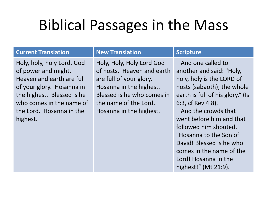### **Current Translation New Translation**  Scripture

Holy, holy, holy Lord, God of power and might, Heaven and earth are full of your glory. Hosanna in the highest. Blessed is he who comes in the name of the Lord. Hosanna in the highest.

Holy, Holy, Holy Lord God of hosts. Heaven and earth are full of your glory. Hosanna in the highest. Blessed is he who comes in the name of the Lord. Hosanna in the highest.

 And one called to another and said: "Holy, holy, holy is the LORD of hosts (sabaoth); the whole earth is full of his glory." (Is 6:3, cf Rev 4:8).

 And the crowds that went before him and that followed him shouted, "Hosanna to the Son of David! Blessed is he who comes in the name of the Lord! Hosanna in the highest!" (Mt 21:9).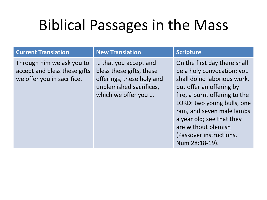### **Current Translation New Translation**  Scripture

Through him we ask you to accept and bless these gifts we offer you in sacrifice.

… that you accept and bless these gifts, these offerings, these holy and unblemished sacrifices, which we offer you …

On the first day there shall be a holy convocation: you shall do no laborious work, but offer an offering by fire, a burnt offering to the LORD: two young bulls, one ram, and seven male lambs a year old; see that they are without blemish (Passover instructions, Num 28:18-19).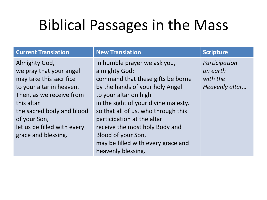| <b>Current Translation</b>                                                                                                                                                                                                                   | <b>New Translation</b>                                                                                                                                                                                                                                                                                                                                                          | <b>Scripture</b>                                        |
|----------------------------------------------------------------------------------------------------------------------------------------------------------------------------------------------------------------------------------------------|---------------------------------------------------------------------------------------------------------------------------------------------------------------------------------------------------------------------------------------------------------------------------------------------------------------------------------------------------------------------------------|---------------------------------------------------------|
| Almighty God,<br>we pray that your angel<br>may take this sacrifice<br>to your altar in heaven.<br>Then, as we receive from<br>this altar<br>the sacred body and blood<br>of your Son,<br>let us be filled with every<br>grace and blessing. | In humble prayer we ask you,<br>almighty God:<br>command that these gifts be borne<br>by the hands of your holy Angel<br>to your altar on high<br>in the sight of your divine majesty,<br>so that all of us, who through this<br>participation at the altar<br>receive the most holy Body and<br>Blood of your Son,<br>may be filled with every grace and<br>heavenly blessing. | Participation<br>on earth<br>with the<br>Heavenly altar |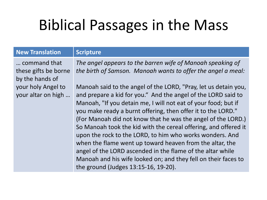### **New Translation | Scripture**

… command that these gifts be borne by the hands of your holy Angel to your altar on high … *The angel appears to the barren wife of Manoah speaking of the birth of Samson. Manoah wants to offer the angel a meal:*

Manoah said to the angel of the LORD, "Pray, let us detain you, and prepare a kid for you." And the angel of the LORD said to Manoah, "If you detain me, I will not eat of your food; but if you make ready a burnt offering, then offer it to the LORD." (For Manoah did not know that he was the angel of the LORD.) So Manoah took the kid with the cereal offering, and offered it upon the rock to the LORD, to him who works wonders. And when the flame went up toward heaven from the altar, the angel of the LORD ascended in the flame of the altar while Manoah and his wife looked on; and they fell on their faces to the ground (Judges 13:15-16, 19-20).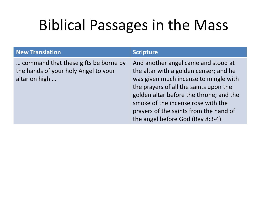| <b>New Translation</b>                                                                        | <b>Scripture</b>                                                                                                                                                                                                                                                                                                                 |
|-----------------------------------------------------------------------------------------------|----------------------------------------------------------------------------------------------------------------------------------------------------------------------------------------------------------------------------------------------------------------------------------------------------------------------------------|
| command that these gifts be borne by<br>the hands of your holy Angel to your<br>altar on high | And another angel came and stood at<br>the altar with a golden censer; and he<br>was given much incense to mingle with<br>the prayers of all the saints upon the<br>golden altar before the throne; and the<br>smoke of the incense rose with the<br>prayers of the saints from the hand of<br>the angel before God (Rev 8:3-4). |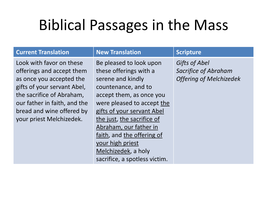### **Current Translation New Translation**  Scripture

Look with favor on these offerings and accept them as once you accepted the gifts of your servant Abel, the sacrifice of Abraham, our father in faith, and the bread and wine offered by your priest Melchizedek.

Be pleased to look upon these offerings with a serene and kindly countenance, and to accept them, as once you were pleased to accept the gifts of your servant Abel the just, the sacrifice of Abraham, our father in faith, and the offering of your high priest Melchizedek, a holy sacrifice, a spotless victim.

*Gifts of Abel Sacrifice of Abraham Offering of Melchizedek*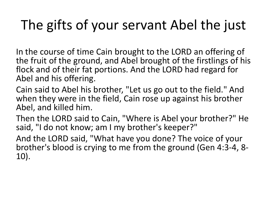## The gifts of your servant Abel the just

In the course of time Cain brought to the LORD an offering of the fruit of the ground, and Abel brought of the firstlings of his flock and of their fat portions. And the LORD had regard for Abel and his offering.

Cain said to Abel his brother, "Let us go out to the field." And when they were in the field, Cain rose up against his brother Abel, and killed him.

Then the LORD said to Cain, "Where is Abel your brother?" He said, "I do not know; am I my brother's keeper?"

And the LORD said, "What have you done? The voice of your brother's blood is crying to me from the ground (Gen 4:3-4, 8- 10).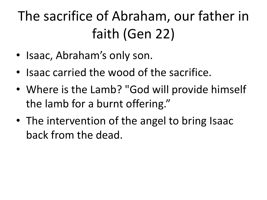The sacrifice of Abraham, our father in faith (Gen 22)

- Isaac, Abraham's only son.
- Isaac carried the wood of the sacrifice.
- Where is the Lamb? "God will provide himself the lamb for a burnt offering."
- The intervention of the angel to bring Isaac back from the dead.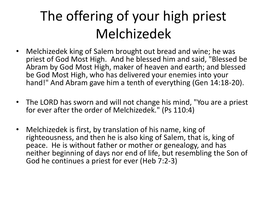## The offering of your high priest Melchizedek

- Melchizedek king of Salem brought out bread and wine; he was priest of God Most High. And he blessed him and said, "Blessed be Abram by God Most High, maker of heaven and earth; and blessed be God Most High, who has delivered your enemies into your hand!" And Abram gave him a tenth of everything (Gen 14:18-20).
- The LORD has sworn and will not change his mind, "You are a priest for ever after the order of Melchizedek." (Ps 110:4)
- Melchizedek is first, by translation of his name, king of righteousness, and then he is also king of Salem, that is, king of peace. He is without father or mother or genealogy, and has neither beginning of days nor end of life, but resembling the Son of God he continues a priest for ever (Heb 7:2-3)